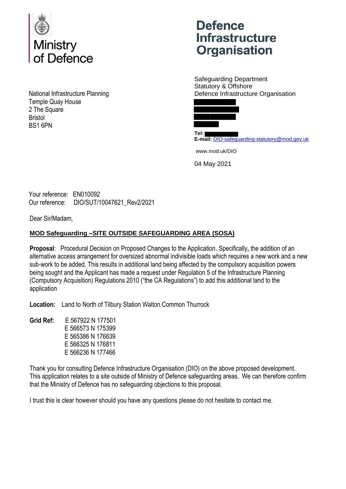

National Infrastructure Planning Temple Quay House 2 The Square Bristol BS1 6PN

## **Defence Infrastructure Organisation**

Safeguarding Department Statutory & Offshore Defence Infrastructure Organisation



**Tel: E-mail:** DIO-safeguarding-statutory@mod.gov.uk

www.mod.uk/DIO

04 May 2021

Your reference: EN010092 Our reference: DIO/SUT/10047621\_Rev2/2021

Dear Sir/Madam,

## **MOD Safeguarding –SITE OUTSIDE SAFEGUARDING AREA (SOSA)**

**Proposal**: Procedural Decision on Proposed Changes to the Application. Specifically**,** the addition of an alternative access arrangement for oversized abnormal indivisible loads which requires a new work and a new sub-work to be added. This results in additional land being affected by the compulsory acquisition powers being sought and the Applicant has made a request under Regulation 5 of the Infrastructure Planning (Compulsory Acquisition) Regulations 2010 ("the CA Regulations") to add this additional land to the application

**Location:** Land to North of Tilbury Station Walton Common Thurrock

**Grid Ref:** E 567922 N 177501 E 566573 N 175399 E 565386 N 176639 E 566325 N 176811 E 566236 N 177466

Thank you for consulting Defence Infrastructure Organisation (DIO) on the above proposed development. This application relates to a site outside of Ministry of Defence safeguarding areas. We can therefore confirm that the Ministry of Defence has no safeguarding objections to this proposal.

I trust this is clear however should you have any questions please do not hesitate to contact me.